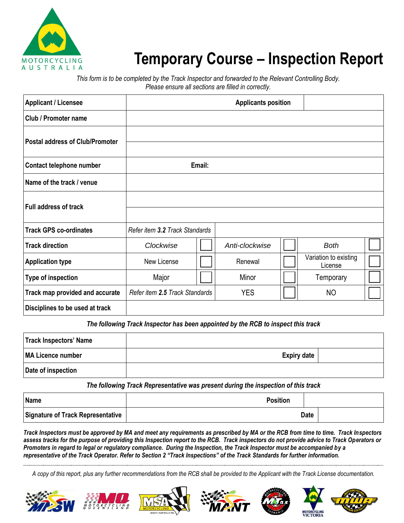

## **Temporary Course – Inspection Report**

*This form is to be completed by the Track Inspector and forwarded to the Relevant Controlling Body. Please ensure all sections are filled in correctly.*

| <b>Applicant / Licensee</b>            |                                |        | <b>Applicants position</b> |                                  |  |
|----------------------------------------|--------------------------------|--------|----------------------------|----------------------------------|--|
| <b>Club / Promoter name</b>            |                                |        |                            |                                  |  |
| <b>Postal address of Club/Promoter</b> |                                |        |                            |                                  |  |
| Contact telephone number               |                                | Email: |                            |                                  |  |
| Name of the track / venue              |                                |        |                            |                                  |  |
| <b>Full address of track</b>           |                                |        |                            |                                  |  |
|                                        |                                |        |                            |                                  |  |
| <b>Track GPS co-ordinates</b>          | Refer item 3.2 Track Standards |        |                            |                                  |  |
| <b>Track direction</b>                 | Clockwise                      |        | Anti-clockwise             | <b>Both</b>                      |  |
| <b>Application type</b>                | New License                    |        | Renewal                    | Variation to existing<br>License |  |
| Type of inspection                     | Major                          |        | Minor                      | Temporary                        |  |
| Track map provided and accurate        | Refer item 2.5 Track Standards |        | <b>YES</b>                 | <b>NO</b>                        |  |
| Disciplines to be used at track        |                                |        |                            |                                  |  |

The following Track Inspector has been appointed by the RCB to inspect this track

| Track Inspectors' Name |                    |  |
|------------------------|--------------------|--|
| MA Licence number      | <b>Expiry date</b> |  |
| Date of inspection     |                    |  |

*The following Track Representative was present during the inspection of this track*

| Name                                     | <b>Position</b> |             |  |
|------------------------------------------|-----------------|-------------|--|
| <b>Signature of Track Representative</b> |                 | <b>Date</b> |  |

*Track Inspectors must be approved by MA and meet any requirements as prescribed by MA or the RCB from time to time. Track Inspectors assess tracks for the purpose of providing this Inspection report to the RCB. Track inspectors do not provide advice to Track Operators or Promoters in regard to legal or regulatory compliance. During the Inspection, the Track Inspector must be accompanied by a representative of the Track Operator. Refer to Section 2 "Track Inspections" of the Track Standards for further information.*

*A copy of this report, plus any further recommendations from the RCB shall be provided to the Applicant with the Track License documentation.*











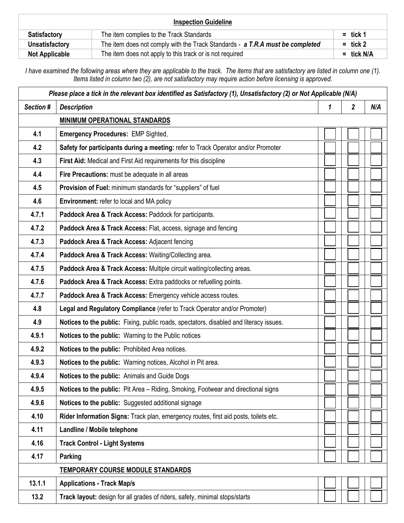| <b>Inspection Guideline</b> |                                                                               |              |
|-----------------------------|-------------------------------------------------------------------------------|--------------|
| <b>Satisfactory</b>         | The item complies to the Track Standards                                      | $=$ tick 1   |
| Unsatisfactory              | The item does not comply with the Track Standards - a T.R.A must be completed | $=$ tick 2   |
| <b>Not Applicable</b>       | The item does not apply to this track or is not required                      | $=$ tick N/A |

*I have examined the following areas where they are applicable to the track. The items that are satisfactory are listed in column one (1). Items listed in column two (2), are not satisfactory may require action before licensing is approved.*

| $\overline{\mathbf{2}}$<br>Section #<br><b>Description</b><br>1<br>N/A<br><b>MINIMUM OPERATIONAL STANDARDS</b><br>4.1<br><b>Emergency Procedures: EMP Sighted,</b><br>4.2<br>Safety for participants during a meeting: refer to Track Operator and/or Promoter<br>4.3<br>First Aid: Medical and First Aid requirements for this discipline<br>Fire Precautions: must be adequate in all areas<br>4.4<br>4.5<br>Provision of Fuel: minimum standards for "suppliers" of fuel<br>4.6<br>Environment: refer to local and MA policy<br>4.7.1<br>Paddock Area & Track Access: Paddock for participants.<br>4.7.2<br>Paddock Area & Track Access: Flat, access, signage and fencing<br>4.7.3<br>Paddock Area & Track Access: Adjacent fencing<br>4.7.4<br>Paddock Area & Track Access: Waiting/Collecting area.<br>4.7.5<br>Paddock Area & Track Access: Multiple circuit waiting/collecting areas.<br>4.7.6<br>Paddock Area & Track Access: Extra paddocks or refuelling points.<br>Paddock Area & Track Access: Emergency vehicle access routes.<br>4.7.7<br>4.8<br>Legal and Regulatory Compliance (refer to Track Operator and/or Promoter)<br>4.9<br>Notices to the public: Fixing, public roads, spectators, disabled and literacy issues.<br>4.9.1<br>Notices to the public: Warning to the Public notices<br>4.9.2<br>Notices to the public: Prohibited Area notices.<br>4.9.3<br>Notices to the public: Warning notices, Alcohol in Pit area.<br>4.9.4<br>Notices to the public: Animals and Guide Dogs<br>Notices to the public: Pit Area - Riding, Smoking, Footwear and directional signs<br>4.9.5<br>4.9.6<br>Notices to the public: Suggested additional signage<br>4.10<br>Rider Information Signs: Track plan, emergency routes, first aid posts, toilets etc.<br>Landline / Mobile telephone<br>4.11<br><b>Track Control - Light Systems</b><br>4.16<br>4.17<br>Parking<br>TEMPORARY COURSE MODULE STANDARDS<br>13.1.1<br><b>Applications - Track Map/s</b><br>$13.2$<br>Track layout: design for all grades of riders, safety, minimal stops/starts | Please place a tick in the relevant box identified as Satisfactory (1), Unsatisfactory (2) or Not Applicable (N/A) |  |  |  |  |
|-----------------------------------------------------------------------------------------------------------------------------------------------------------------------------------------------------------------------------------------------------------------------------------------------------------------------------------------------------------------------------------------------------------------------------------------------------------------------------------------------------------------------------------------------------------------------------------------------------------------------------------------------------------------------------------------------------------------------------------------------------------------------------------------------------------------------------------------------------------------------------------------------------------------------------------------------------------------------------------------------------------------------------------------------------------------------------------------------------------------------------------------------------------------------------------------------------------------------------------------------------------------------------------------------------------------------------------------------------------------------------------------------------------------------------------------------------------------------------------------------------------------------------------------------------------------------------------------------------------------------------------------------------------------------------------------------------------------------------------------------------------------------------------------------------------------------------------------------------------------------------------------------------------------------------------------------------------------------------------------------------------------------------------------------------------------|--------------------------------------------------------------------------------------------------------------------|--|--|--|--|
|                                                                                                                                                                                                                                                                                                                                                                                                                                                                                                                                                                                                                                                                                                                                                                                                                                                                                                                                                                                                                                                                                                                                                                                                                                                                                                                                                                                                                                                                                                                                                                                                                                                                                                                                                                                                                                                                                                                                                                                                                                                                 |                                                                                                                    |  |  |  |  |
|                                                                                                                                                                                                                                                                                                                                                                                                                                                                                                                                                                                                                                                                                                                                                                                                                                                                                                                                                                                                                                                                                                                                                                                                                                                                                                                                                                                                                                                                                                                                                                                                                                                                                                                                                                                                                                                                                                                                                                                                                                                                 |                                                                                                                    |  |  |  |  |
|                                                                                                                                                                                                                                                                                                                                                                                                                                                                                                                                                                                                                                                                                                                                                                                                                                                                                                                                                                                                                                                                                                                                                                                                                                                                                                                                                                                                                                                                                                                                                                                                                                                                                                                                                                                                                                                                                                                                                                                                                                                                 |                                                                                                                    |  |  |  |  |
|                                                                                                                                                                                                                                                                                                                                                                                                                                                                                                                                                                                                                                                                                                                                                                                                                                                                                                                                                                                                                                                                                                                                                                                                                                                                                                                                                                                                                                                                                                                                                                                                                                                                                                                                                                                                                                                                                                                                                                                                                                                                 |                                                                                                                    |  |  |  |  |
|                                                                                                                                                                                                                                                                                                                                                                                                                                                                                                                                                                                                                                                                                                                                                                                                                                                                                                                                                                                                                                                                                                                                                                                                                                                                                                                                                                                                                                                                                                                                                                                                                                                                                                                                                                                                                                                                                                                                                                                                                                                                 |                                                                                                                    |  |  |  |  |
|                                                                                                                                                                                                                                                                                                                                                                                                                                                                                                                                                                                                                                                                                                                                                                                                                                                                                                                                                                                                                                                                                                                                                                                                                                                                                                                                                                                                                                                                                                                                                                                                                                                                                                                                                                                                                                                                                                                                                                                                                                                                 |                                                                                                                    |  |  |  |  |
|                                                                                                                                                                                                                                                                                                                                                                                                                                                                                                                                                                                                                                                                                                                                                                                                                                                                                                                                                                                                                                                                                                                                                                                                                                                                                                                                                                                                                                                                                                                                                                                                                                                                                                                                                                                                                                                                                                                                                                                                                                                                 |                                                                                                                    |  |  |  |  |
|                                                                                                                                                                                                                                                                                                                                                                                                                                                                                                                                                                                                                                                                                                                                                                                                                                                                                                                                                                                                                                                                                                                                                                                                                                                                                                                                                                                                                                                                                                                                                                                                                                                                                                                                                                                                                                                                                                                                                                                                                                                                 |                                                                                                                    |  |  |  |  |
|                                                                                                                                                                                                                                                                                                                                                                                                                                                                                                                                                                                                                                                                                                                                                                                                                                                                                                                                                                                                                                                                                                                                                                                                                                                                                                                                                                                                                                                                                                                                                                                                                                                                                                                                                                                                                                                                                                                                                                                                                                                                 |                                                                                                                    |  |  |  |  |
|                                                                                                                                                                                                                                                                                                                                                                                                                                                                                                                                                                                                                                                                                                                                                                                                                                                                                                                                                                                                                                                                                                                                                                                                                                                                                                                                                                                                                                                                                                                                                                                                                                                                                                                                                                                                                                                                                                                                                                                                                                                                 |                                                                                                                    |  |  |  |  |
|                                                                                                                                                                                                                                                                                                                                                                                                                                                                                                                                                                                                                                                                                                                                                                                                                                                                                                                                                                                                                                                                                                                                                                                                                                                                                                                                                                                                                                                                                                                                                                                                                                                                                                                                                                                                                                                                                                                                                                                                                                                                 |                                                                                                                    |  |  |  |  |
|                                                                                                                                                                                                                                                                                                                                                                                                                                                                                                                                                                                                                                                                                                                                                                                                                                                                                                                                                                                                                                                                                                                                                                                                                                                                                                                                                                                                                                                                                                                                                                                                                                                                                                                                                                                                                                                                                                                                                                                                                                                                 |                                                                                                                    |  |  |  |  |
|                                                                                                                                                                                                                                                                                                                                                                                                                                                                                                                                                                                                                                                                                                                                                                                                                                                                                                                                                                                                                                                                                                                                                                                                                                                                                                                                                                                                                                                                                                                                                                                                                                                                                                                                                                                                                                                                                                                                                                                                                                                                 |                                                                                                                    |  |  |  |  |
|                                                                                                                                                                                                                                                                                                                                                                                                                                                                                                                                                                                                                                                                                                                                                                                                                                                                                                                                                                                                                                                                                                                                                                                                                                                                                                                                                                                                                                                                                                                                                                                                                                                                                                                                                                                                                                                                                                                                                                                                                                                                 |                                                                                                                    |  |  |  |  |
|                                                                                                                                                                                                                                                                                                                                                                                                                                                                                                                                                                                                                                                                                                                                                                                                                                                                                                                                                                                                                                                                                                                                                                                                                                                                                                                                                                                                                                                                                                                                                                                                                                                                                                                                                                                                                                                                                                                                                                                                                                                                 |                                                                                                                    |  |  |  |  |
|                                                                                                                                                                                                                                                                                                                                                                                                                                                                                                                                                                                                                                                                                                                                                                                                                                                                                                                                                                                                                                                                                                                                                                                                                                                                                                                                                                                                                                                                                                                                                                                                                                                                                                                                                                                                                                                                                                                                                                                                                                                                 |                                                                                                                    |  |  |  |  |
|                                                                                                                                                                                                                                                                                                                                                                                                                                                                                                                                                                                                                                                                                                                                                                                                                                                                                                                                                                                                                                                                                                                                                                                                                                                                                                                                                                                                                                                                                                                                                                                                                                                                                                                                                                                                                                                                                                                                                                                                                                                                 |                                                                                                                    |  |  |  |  |
|                                                                                                                                                                                                                                                                                                                                                                                                                                                                                                                                                                                                                                                                                                                                                                                                                                                                                                                                                                                                                                                                                                                                                                                                                                                                                                                                                                                                                                                                                                                                                                                                                                                                                                                                                                                                                                                                                                                                                                                                                                                                 |                                                                                                                    |  |  |  |  |
|                                                                                                                                                                                                                                                                                                                                                                                                                                                                                                                                                                                                                                                                                                                                                                                                                                                                                                                                                                                                                                                                                                                                                                                                                                                                                                                                                                                                                                                                                                                                                                                                                                                                                                                                                                                                                                                                                                                                                                                                                                                                 |                                                                                                                    |  |  |  |  |
|                                                                                                                                                                                                                                                                                                                                                                                                                                                                                                                                                                                                                                                                                                                                                                                                                                                                                                                                                                                                                                                                                                                                                                                                                                                                                                                                                                                                                                                                                                                                                                                                                                                                                                                                                                                                                                                                                                                                                                                                                                                                 |                                                                                                                    |  |  |  |  |
|                                                                                                                                                                                                                                                                                                                                                                                                                                                                                                                                                                                                                                                                                                                                                                                                                                                                                                                                                                                                                                                                                                                                                                                                                                                                                                                                                                                                                                                                                                                                                                                                                                                                                                                                                                                                                                                                                                                                                                                                                                                                 |                                                                                                                    |  |  |  |  |
|                                                                                                                                                                                                                                                                                                                                                                                                                                                                                                                                                                                                                                                                                                                                                                                                                                                                                                                                                                                                                                                                                                                                                                                                                                                                                                                                                                                                                                                                                                                                                                                                                                                                                                                                                                                                                                                                                                                                                                                                                                                                 |                                                                                                                    |  |  |  |  |
|                                                                                                                                                                                                                                                                                                                                                                                                                                                                                                                                                                                                                                                                                                                                                                                                                                                                                                                                                                                                                                                                                                                                                                                                                                                                                                                                                                                                                                                                                                                                                                                                                                                                                                                                                                                                                                                                                                                                                                                                                                                                 |                                                                                                                    |  |  |  |  |
|                                                                                                                                                                                                                                                                                                                                                                                                                                                                                                                                                                                                                                                                                                                                                                                                                                                                                                                                                                                                                                                                                                                                                                                                                                                                                                                                                                                                                                                                                                                                                                                                                                                                                                                                                                                                                                                                                                                                                                                                                                                                 |                                                                                                                    |  |  |  |  |
|                                                                                                                                                                                                                                                                                                                                                                                                                                                                                                                                                                                                                                                                                                                                                                                                                                                                                                                                                                                                                                                                                                                                                                                                                                                                                                                                                                                                                                                                                                                                                                                                                                                                                                                                                                                                                                                                                                                                                                                                                                                                 |                                                                                                                    |  |  |  |  |
|                                                                                                                                                                                                                                                                                                                                                                                                                                                                                                                                                                                                                                                                                                                                                                                                                                                                                                                                                                                                                                                                                                                                                                                                                                                                                                                                                                                                                                                                                                                                                                                                                                                                                                                                                                                                                                                                                                                                                                                                                                                                 |                                                                                                                    |  |  |  |  |
|                                                                                                                                                                                                                                                                                                                                                                                                                                                                                                                                                                                                                                                                                                                                                                                                                                                                                                                                                                                                                                                                                                                                                                                                                                                                                                                                                                                                                                                                                                                                                                                                                                                                                                                                                                                                                                                                                                                                                                                                                                                                 |                                                                                                                    |  |  |  |  |
|                                                                                                                                                                                                                                                                                                                                                                                                                                                                                                                                                                                                                                                                                                                                                                                                                                                                                                                                                                                                                                                                                                                                                                                                                                                                                                                                                                                                                                                                                                                                                                                                                                                                                                                                                                                                                                                                                                                                                                                                                                                                 |                                                                                                                    |  |  |  |  |
|                                                                                                                                                                                                                                                                                                                                                                                                                                                                                                                                                                                                                                                                                                                                                                                                                                                                                                                                                                                                                                                                                                                                                                                                                                                                                                                                                                                                                                                                                                                                                                                                                                                                                                                                                                                                                                                                                                                                                                                                                                                                 |                                                                                                                    |  |  |  |  |
|                                                                                                                                                                                                                                                                                                                                                                                                                                                                                                                                                                                                                                                                                                                                                                                                                                                                                                                                                                                                                                                                                                                                                                                                                                                                                                                                                                                                                                                                                                                                                                                                                                                                                                                                                                                                                                                                                                                                                                                                                                                                 |                                                                                                                    |  |  |  |  |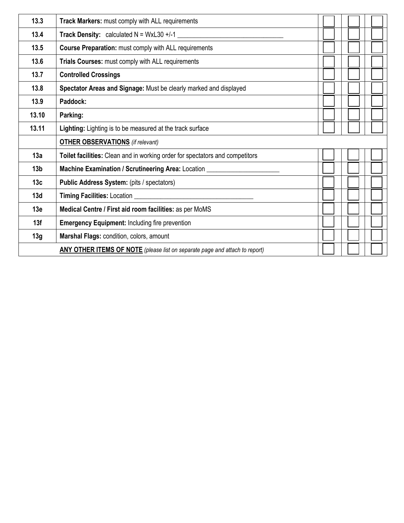| 13.3            | <b>Track Markers: must comply with ALL requirements</b>                            |  |  |
|-----------------|------------------------------------------------------------------------------------|--|--|
| 13.4            | <b>Track Density:</b> calculated $N = WxL30 + (-1)$                                |  |  |
| 13.5            | Course Preparation: must comply with ALL requirements                              |  |  |
| 13.6            | Trials Courses: must comply with ALL requirements                                  |  |  |
| 13.7            | <b>Controlled Crossings</b>                                                        |  |  |
| 13.8            | Spectator Areas and Signage: Must be clearly marked and displayed                  |  |  |
| 13.9            | Paddock:                                                                           |  |  |
| 13.10           | Parking:                                                                           |  |  |
| 13.11           | Lighting: Lighting is to be measured at the track surface                          |  |  |
|                 | <b>OTHER OBSERVATIONS</b> (if relevant)                                            |  |  |
| 13a             | Toilet facilities: Clean and in working order for spectators and competitors       |  |  |
| 13 <sub>b</sub> | Machine Examination / Scrutineering Area: Location ______                          |  |  |
| 13 <sub>c</sub> | Public Address System: (pits / spectators)                                         |  |  |
| 13d             | Timing Facilities: Location                                                        |  |  |
| 13e             | Medical Centre / First aid room facilities: as per MoMS                            |  |  |
| 13f             | <b>Emergency Equipment: Including fire prevention</b>                              |  |  |
| 13g             | Marshal Flags: condition, colors, amount                                           |  |  |
|                 | <b>ANY OTHER ITEMS OF NOTE</b> (please list on separate page and attach to report) |  |  |